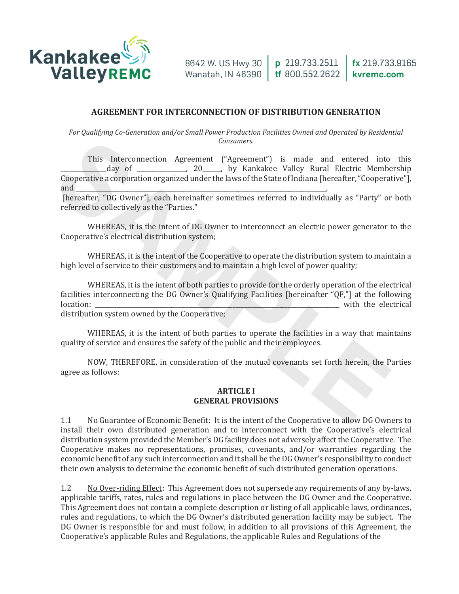

#### **AGREEMENT FOR INTERCONNECTION OF DISTRIBUTION GENERATION**

*For Qualifying Co-Generation and/or Small Power Production Facilities Owned and Operated by Residential Consumers.* 

This Interconnection Agreement ("Agreement") is made and entered into this (day of \_\_\_\_\_\_\_\_\_\_\_\_, 20\_\_\_\_, by Kankakee Valley Rural Electric Membership Cooperative a corporation organized under the laws of the State of Indiana [hereafter, "Cooperative"], and and Consumers.<br>
This Interconnection Agreement") is made and entered into<br>
day of  $20$  (by Kankakee Valley Rural Electric Membeud<br>
Coopcrative a corporation organized under the laws of the State of Indiana [hereafter, "Coopera

[hereafter, "DG Owner"], each hereinafter sometimes referred to individually as "Party" or both referred to collectively as the "Parties."

WHEREAS, it is the intent of DG Owner to interconnect an electric power generator to the Cooperative's electrical distribution system;

WHEREAS, it is the intent of the Cooperative to operate the distribution system to maintain a high level of service to their customers and to maintain a high level of power quality;

WHEREAS, it is the intent of both parties to provide for the orderly operation of the electrical facilities interconnecting the DG Owner's Qualifying Facilities [hereinafter "QF,"] at the following location: with the electrical <del>**</u>**<br><del>▲</del><br>◆</del> distribution system owned by the Cooperative;

WHEREAS, it is the intent of both parties to operate the facilities in a way that maintains quality of service and ensures the safety of the public and their employees.

NOW, THEREFORE, in consideration of the mutual covenants set forth herein, the Parties agree as follows:

#### **ARTICLE I GENERAL PROVISIONS**

1.1 No Guarantee of Economic Benefit: It is the intent of the Cooperative to allow DG Owners to install their own distributed generation and to interconnect with the Cooperative's electrical distribution system provided the Member's DG facility does not adversely affect the Cooperative. The Cooperative makes no representations, promises, covenants, and/or warranties regarding the economic benefit of any such interconnection and it shall be the DG Owner's responsibility to conduct their own analysis to determine the economic benefit of such distributed generation operations.

1.2 No Over-riding Effect: This Agreement does not supersede any requirements of any by-laws, applicable tariffs, rates, rules and regulations in place between the DG Owner and the Cooperative. This Agreement does not contain a complete description or listing of all applicable laws, ordinances, rules and regulations, to which the DG Owner's distributed generation facility may be subject. The DG Owner is responsible for and must follow, in addition to all provisions of this Agreement, the Cooperative's applicable Rules and Regulations, the applicable Rules and Regulations of the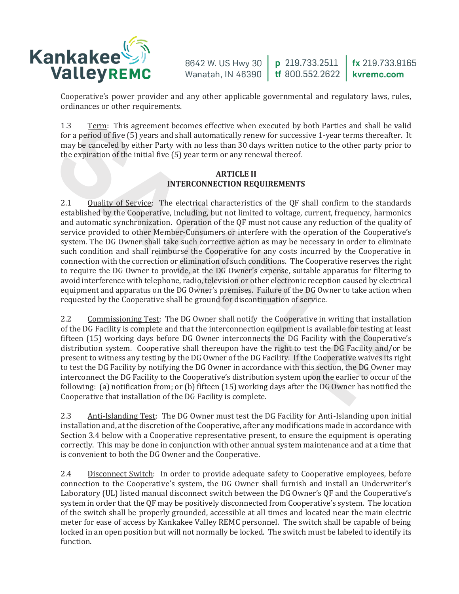

Cooperative's power provider and any other applicable governmental and regulatory laws, rules, ordinances or other requirements.

1.3 Term: This agreement becomes effective when executed by both Parties and shall be valid for a period of five (5) years and shall automatically renew for successive 1-year terms thereafter. It may be canceled by either Party with no less than 30 days written notice to the other party prior to the expiration of the initial five (5) year term or any renewal thereof.

## **ARTICLE II INTERCONNECTION REQUIREMENTS**

2.1 Ouality of Service: The electrical characteristics of the QF shall confirm to the standards established by the Cooperative, including, but not limited to voltage, current, frequency, harmonics and automatic synchronization. Operation of the QF must not cause any reduction of the quality of service provided to other Member-Consumers or interfere with the operation of the Cooperative's system. The DG Owner shall take such corrective action as may be necessary in order to eliminate such condition and shall reimburse the Cooperative for any costs incurred by the Cooperative in connection with the correction or elimination of such conditions. The Cooperative reserves the right to require the DG Owner to provide, at the DG Owner's expense, suitable apparatus for filtering to avoid interference with telephone, radio, television or other electronic reception caused by electrical equipment and apparatus on the DG Owner's premises. Failure of the DG Owner to take action when  $\,$ requested by the Cooperative shall be ground for discontinuation of service. 1.3 Term: This agreement becomes effective when executed by both Parties and shall be for a period of five (5) years and shall atomatically renew for successive 1-year semisation of the particle in the expiration of the i

2.2 Commissioning Test: The DG Owner shall notify the Cooperative in writing that installation of the DG Facility is complete and that the interconnection equipment is available for testing at least fifteen (15) working days before DG Owner interconnects the DG Facility with the Cooperative's distribution system. Cooperative shall thereupon have the right to test the DG Facility and/or be present to witness any testing by the DG Owner of the DG Facility. If the Cooperative waives its right to test the DG Facility by notifying the DG Owner in accordance with this section, the DG Owner may interconnect the DG Facility to the Cooperative's distribution system upon the earlier to occur of the following: (a) notification from; or (b) fifteen (15) working days after the DG Owner has notified the Cooperative that installation of the DG Facility is complete.

2.3 Anti-Islanding Test: The DG Owner must test the DG Facility for Anti-Islanding upon initial installation and, at the discretion of the Cooperative, after any modifications made in accordance with Section 3.4 below with a Cooperative representative present, to ensure the equipment is operating correctly. This may be done in conjunction with other annual system maintenance and at a time that is convenient to both the DG Owner and the Cooperative.

2.4 Disconnect Switch: In order to provide adequate safety to Cooperative employees, before connection to the Cooperative's system, the DG Owner shall furnish and install an Underwriter's Laboratory (UL) listed manual disconnect switch between the DG Owner's QF and the Cooperative's system in order that the QF may be positively disconnected from Cooperative's system. The location of the switch shall be properly grounded, accessible at all times and located near the main electric meter for ease of access by Kankakee Valley REMC personnel. The switch shall be capable of being locked in an open position but will not normally be locked. The switch must be labeled to identify its function.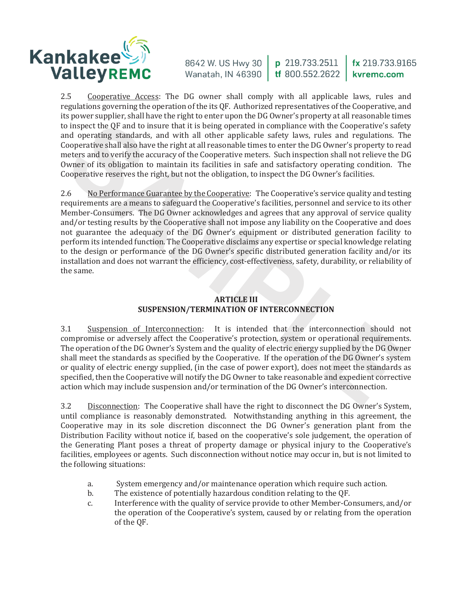

2.5 Cooperative Access: The DG owner shall comply with all applicable laws, rules and regulations governing the operation of the its QF. Authorized representatives of the Cooperative, and its power supplier, shall have the right to enter upon the DG Owner's property at all reasonable times to inspect the QF and to insure that it is being operated in compliance with the Cooperative's safety and operating standards, and with all other applicable safety laws, rules and regulations. The Cooperative shall also have the right at all reasonable times to enter the DG Owner's property to read meters and to verify the accuracy of the Cooperative meters. Such inspection shall not relieve the DG Owner of its obligation to maintain its facilities in safe and satisfactory operating condition. The Cooperative reserves the right, but not the obligation, to inspect the DG Owner's facilities.

2.6 No Performance Guarantee by the Cooperative: The Cooperative's service quality and testing requirements are a means to safeguard the Cooperative's facilities, personnel and service to its other Member-Consumers. The DG Owner acknowledges and agrees that any approval of service quality and/or testing results by the Cooperative shall not impose any liability on the Cooperative and does not guarantee the adequacy of the DG Owner's equipment or distributed generation facility to perform its intended function. The Cooperative disclaims any expertise or special knowledge relating to the design or performance of the DG Owner's specific distributed generation facility and/or its installation and does not warrant the efficiency, cost-effectiveness, safety, durability, or reliability of the same. o inspect the QF and to insure that it is being operated in compliance with the Cooperative's safe<br>and operating standards, and with all other applicable safety laws, rules and regulations. The<br>cooperative shall also have

# **ARTICLE III SUSPENSION/TERMINATION OF INTERCONNECTION**

3.1 Suspension of Interconnection: It is intended that the interconnection should not compromise or adversely affect the Cooperative's protection, system or operational requirements. The operation of the DG Owner's System and the quality of electric energy supplied by the DG Owner shall meet the standards as specified by the Cooperative. If the operation of the DG Owner's system or quality of electric energy supplied, (in the case of power export), does not meet the standards as specified, then the Cooperative will notify the DG Owner to take reasonable and expedient corrective action which may include suspension and/or termination of the DG Owner's interconnection.

3.2 Disconnection: The Cooperative shall have the right to disconnect the DG Owner's System, until compliance is reasonably demonstrated. Notwithstanding anything in this agreement, the Cooperative may in its sole discretion disconnect the DG Owner's generation plant from the Distribution Facility without notice if, based on the cooperative's sole judgement, the operation of the Generating Plant poses a threat of property damage or physical injury to the Cooperative's facilities, employees or agents. Such disconnection without notice may occur in, but is not limited to the following situations:

- a. System emergency and/or maintenance operation which require such action.<br>b. The existence of potentially hazardous condition relating to the OF.
- b. The existence of potentially hazardous condition relating to the QF.<br>
c. Interference with the quality of service provide to other Member-Co
- Interference with the quality of service provide to other Member-Consumers, and/or the operation of the Cooperative's system, caused by or relating from the operation of the OF.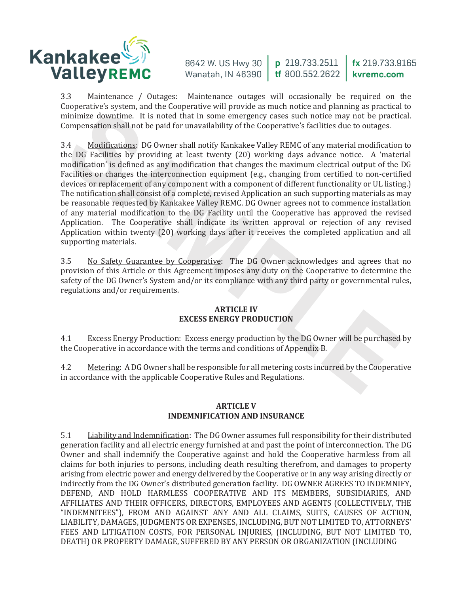

3.3 Maintenance / Outages: Maintenance outages will occasionally be required on the Cooperative's system, and the Cooperative will provide as much notice and planning as practical to minimize downtime. It is noted that in some emergency cases such notice may not be practical. Compensation shall not be paid for unavailability of the Cooperative's facilities due to outages.

3.4 <u>Modifications</u>: DG Owner shall notify Kankakee Valley REMC of any material modification to the DG Facilities by providing at least twenty (20) working days advance notice. A 'material modification' is defined as any modification that changes the maximum electrical output of the DG Facilities or changes the interconnection equipment (e.g., changing from certified to non-certified devices or replacement of any component with a component of different functionality or UL listing.) The notification shall consist of a complete, revised Application an such supporting materials as may be reasonable requested by Kankakee Valley REMC. DG Owner agrees not to commence installation of any material modification to the DG Facility until the Cooperative has approved the revised Application. The Cooperative shall indicate its written approval or rejection of any revised Application within twenty (20) working days after it receives the completed application and all supporting materials. constraints: system, and use cooperative win provise as small inductional pairing as practical<br>minimize downtime. It is noted that in some emergency cases such notice any not be practic<br>Compensation shall not be paid for u

3.5 No Safety Guarantee by Cooperative: The DG Owner acknowledges and agrees that no provision of this Article or this Agreement imposes any duty on the Cooperative to determine the safety of the DG Owner's System and/or its compliance with any third party or governmental rules, regulations and/or requirements.

## **ARTICLE IV EXCESS ENERGY PRODUCTION**

4.1 Excess Energy Production: Excess energy production by the DG Owner will be purchased by the Cooperative in accordance with the terms and conditions of Appendix B.

4.2 Metering: A DG Owner shall be responsible for all metering costs incurred by the Cooperative in accordance with the applicable Cooperative Rules and Regulations.

## **ARTICLE V INDEMNIFICATION AND INSURANCE**

5.1 Liability and Indemnification: The DG Owner assumes full responsibility for their distributed generation facility and all electric energy furnished at and past the point of interconnection. The DG Owner and shall indemnify the Cooperative against and hold the Cooperative harmless from all claims for both injuries to persons, including death resulting therefrom, and damages to property arising from electric power and energy delivered by the Cooperative or in any way arising directly or indirectly from the DG Owner's distributed generation facility. DG OWNER AGREES TO INDEMNIFY,  $\,$ DEFEND, AND HOLD HARMLESS COOPERATIVE AND ITS MEMBERS, SUBSIDIARIES, AND AFFILIATES AND THEIR OFFICERS, DIRECTORS, EMPLOYEES AND AGENTS (COLLECTIVELY, THE "INDEMNITEES"), FROM AND AGAINST ANY AND ALL CLAIMS, SUITS, CAUSES OF ACTION, LIABILITY, DAMAGES, JUDGMENTS OR EXPENSES, INCLUDING, BUT NOT LIMITED TO, ATTORNEYS' FEES AND LITIGATION COSTS, FOR PERSONAL INJURIES, (INCLUDING, BUT NOT LIMITED TO, DEATH) OR PROPERTY DAMAGE, SUFFERED BY ANY PERSON OR ORGANIZATION (INCLUDING)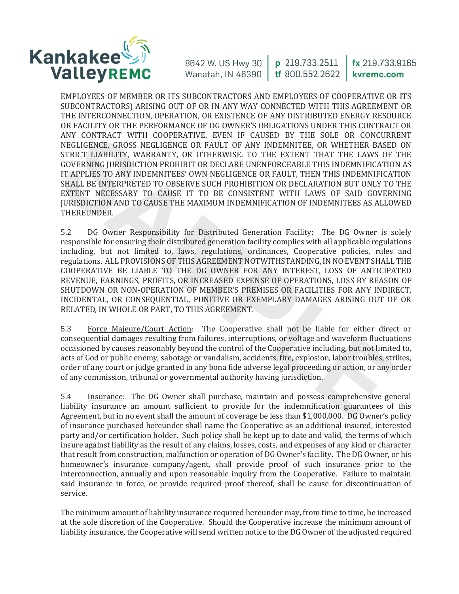

EMPLOYEES OF MEMBER OR ITS SUBCONTRACTORS AND EMPLOYEES OF COOPERATIVE OR ITS SUBCONTRACTORS) ARISING OUT OF OR IN ANY WAY CONNECTED WITH THIS AGREEMENT OR THE INTERCONNECTION, OPERATION, OR EXISTENCE OF ANY DISTRIBUTED ENERGY RESOURCE OR FACILITY OR THE PERFORMANCE OF DG OWNER'S OBLIGATIONS UNDER THIS CONTRACT OR ANY CONTRACT WITH COOPERATIVE, EVEN IF CAUSED BY THE SOLE OR CONCURRENT NEGLIGENCE, GROSS NEGLIGENCE OR FAULT OF ANY INDEMNITEE, OR WHETHER BASED ON STRICT LIABILITY, WARRANTY, OR OTHERWISE. TO THE EXTENT THAT THE LAWS OF THE GOVERNING JURISDICTION PROHIBIT OR DECLARE UNENFORCEABLE THIS INDEMNIFICATION AS IT APPLIES TO ANY INDEMNITEES' OWN NEGLIGENCE OR FAULT, THEN THIS INDEMNIFICATION SHALL BE INTERPRETED TO OBSERVE SUCH PROHIBITION OR DECLARATION BUT ONLY TO THE EXTENT NECESSARY TO CAUSE IT TO BE CONSISTENT WITH LAWS OF SAID GOVERNING **IURISDICTION AND TO CAUSE THE MAXIMUM INDEMNIFICATION OF INDEMNITEES AS ALLOWED** THEREUNDER.

5.2 DG Owner Responsibility for Distributed Generation Facility: The DG Owner is solely responsible for ensuring their distributed generation facility complies with all applicable regulations including, but not limited to, laws, regulations, ordinances, Cooperative policies, rules and regulations. ALL PROVISIONS OF THIS AGREEMENT NOTWITHSTANDING, IN NO EVENT SHALL THE COOPERATIVE BE LIABLE TO THE DG OWNER FOR ANY INTEREST, LOSS OF ANTICIPATED REVENUE, EARNINGS, PROFITS, OR INCREASED EXPENSE OF OPERATIONS, LOSS BY REASON OF SHUTDOWN OR NON-OPERATION OF MEMBER'S PREMISES OR FACILITIES FOR ANY INDIRECT. INCIDENTAL, OR CONSEQUENTIAL, PUNITIVE OR EXEMPLARY DAMAGES ARISING OUT OF OR RELATED, IN WHOLE OR PART, TO THIS AGREEMENT. ANY CONTRACT WITH CODERATIVE, EVEN IF CAUSED BY THE SOLE OR CONCURR<br>
NEGLIGENCE, GROGS NEGLIGENCE OR FAILLT OF ANY INDEMITTEE, OR WHETHER BASED<br>
STRUCT LABILITY, WARRANTY, OR OTHERWISES. TO THE EXTENT THE LAWS OF<br>
COVERNIN

5.3 Force Majeure/Court Action: The Cooperative shall not be liable for either direct or consequential damages resulting from failures, interruptions, or voltage and waveform fluctuations occasioned by causes reasonably beyond the control of the Cooperative including, but not limited to, acts of God or public enemy, sabotage or vandalism, accidents, fire, explosion, labor troubles, strikes, order of any court or judge granted in any bona fide adverse legal proceeding or action, or any order of any commission, tribunal or governmental authority having jurisdiction.

5.4 Insurance: The DG Owner shall purchase, maintain and possess comprehensive general liability insurance an amount sufficient to provide for the indemnification guarantees of this Agreement, but in no event shall the amount of coverage be less than \$1,000,000. DG Owner's policy of insurance purchased hereunder shall name the Cooperative as an additional insured, interested party and/or certification holder. Such policy shall be kept up to date and valid, the terms of which insure against liability as the result of any claims, losses, costs, and expenses of any kind or character that result from construction, malfunction or operation of DG Owner's facility. The DG Owner, or his homeowner's insurance company/agent, shall provide proof of such insurance prior to the interconnection, annually and upon reasonable inquiry from the Cooperative. Failure to maintain said insurance in force, or provide required proof thereof, shall be cause for discontinuation of service.

The minimum amount of liability insurance required hereunder may, from time to time, be increased at the sole discretion of the Cooperative. Should the Cooperative increase the minimum amount of liability insurance, the Cooperative will send written notice to the DG Owner of the adjusted required  $\,$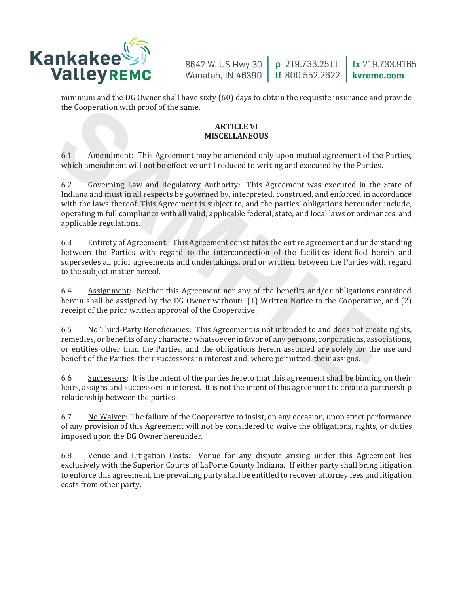

minimum and the DG Owner shall have sixty (60) days to obtain the requisite insurance and provide the Cooperation with proof of the same.

#### **ARTICLE VI MISCELLANEOUS**

6.1 Amendment: This Agreement may be amended only upon mutual agreement of the Parties, which amendment will not be effective until reduced to writing and executed by the Parties.

 $6.2$ Governing Law and Regulatory Authority: This Agreement was executed in the State of Indiana and must in all respects be governed by, interpreted, construed, and enforced in accordance with the laws thereof. This Agreement is subject to, and the parties' obligations hereunder include, operating in full compliance with all valid, applicable federal, state, and local laws or ordinances, and applicable regulations. **ARTICLE VI**<br>**SARTICLE VI**<br>**ARTICLE VI**<br>**ARTICLE VI**<br>**ARTICLE VI**<br>**ARTICLE VI**<br>**SARTICLE VI**<br>**SARTICLE VI**<br>**SARTICLE VI**<br>**SARTICLE VI**<br>**SARTICLE VI**<br>**SARTICLE VI**<br>**SARTICLE VI**<br>**SARTICLE VI**<br>**SARTICLE VI**<br>**SARTICLE VI**<br>**SA** 

6.3 Entirety of Agreement: This Agreement constitutes the entire agreement and understanding between the Parties with regard to the interconnection of the facilities identified herein and supersedes all prior agreements and undertakings, oral or written, between the Parties with regard to the subject matter hereof.

6.4 Assignment: Neither this Agreement nor any of the benefits and/or obligations contained herein shall be assigned by the DG Owner without: <code>[1]</code> Written Notice to the Cooperative, and <code>[2]</code> receipt of the prior written approval of the Cooperative.

6.5 No Third-Party Beneficiaries: This Agreement is not intended to and does not create rights, remedies, or benefits of any character whatsoever in favor of any persons, corporations, associations, or entities other than the Parties, and the obligations herein assumed are solely for the use and benefit of the Parties, their successors in interest and, where permitted, their assigns.

6.6 Successors: It is the intent of the parties hereto that this agreement shall be binding on their heirs, assigns and successors in interest. It is not the intent of this agreement to create a partnership relationship between the parties.

6.7 No Waiver: The failure of the Cooperative to insist, on any occasion, upon strict performance of any provision of this Agreement will not be considered to waive the obligations, rights, or duties imposed upon the DG Owner hereunder.

6.8 Venue and Litigation Costs: Venue for any dispute arising under this Agreement lies exclusively with the Superior Courts of LaPorte County Indiana. If either party shall bring litigation to enforce this agreement, the prevailing party shall be entitled to recover attorney fees and litigation costs from other party.